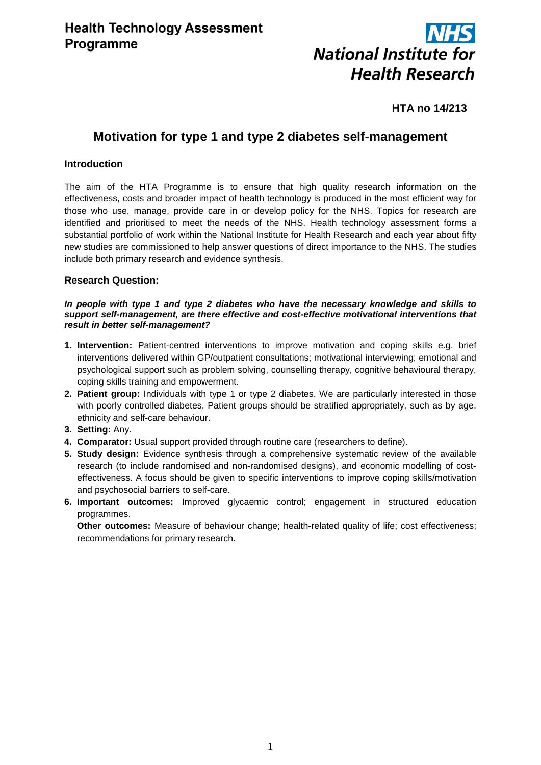

# **HTA no 14/213**

# **Motivation for type 1 and type 2 diabetes self-management**

# **Introduction**

The aim of the HTA Programme is to ensure that high quality research information on the effectiveness, costs and broader impact of health technology is produced in the most efficient way for those who use, manage, provide care in or develop policy for the NHS. Topics for research are identified and prioritised to meet the needs of the NHS. Health technology assessment forms a substantial portfolio of work within the National Institute for Health Research and each year about fifty new studies are commissioned to help answer questions of direct importance to the NHS. The studies include both primary research and evidence synthesis.

# **Research Question:**

### *In people with type 1 and type 2 diabetes who have the necessary knowledge and skills to support self-management, are there effective and cost-effective motivational interventions that result in better self-management?*

- **1. Intervention:** Patient-centred interventions to improve motivation and coping skills e.g. brief interventions delivered within GP/outpatient consultations; motivational interviewing; emotional and psychological support such as problem solving, counselling therapy, cognitive behavioural therapy, coping skills training and empowerment.
- **2. Patient group:** Individuals with type 1 or type 2 diabetes. We are particularly interested in those with poorly controlled diabetes. Patient groups should be stratified appropriately, such as by age, ethnicity and self-care behaviour.
- **3. Setting:** Any.
- **4. Comparator:** Usual support provided through routine care (researchers to define).
- **5. Study design:** Evidence synthesis through a comprehensive systematic review of the available research (to include randomised and non-randomised designs), and economic modelling of costeffectiveness. A focus should be given to specific interventions to improve coping skills/motivation and psychosocial barriers to self-care.
- **6. Important outcomes:** Improved glycaemic control; engagement in structured education programmes.

 **Other outcomes:** Measure of behaviour change; health-related quality of life; cost effectiveness; recommendations for primary research.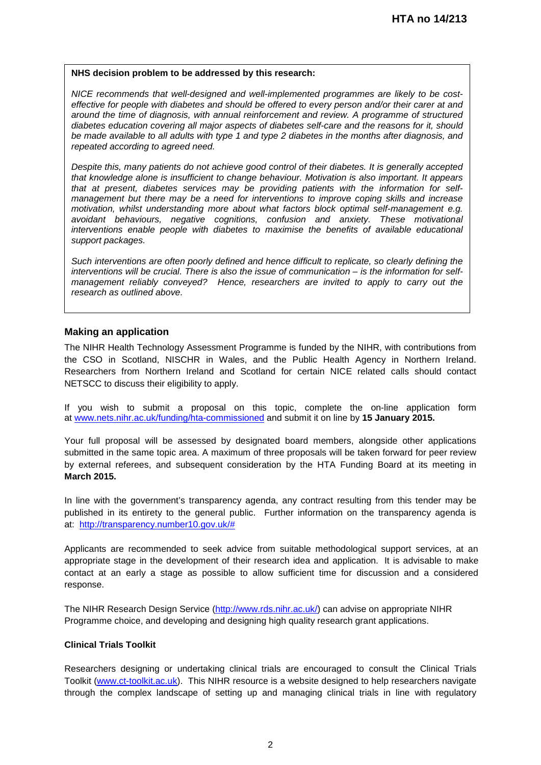#### **NHS decision problem to be addressed by this research:**

*NICE recommends that well-designed and well-implemented programmes are likely to be costeffective for people with diabetes and should be offered to every person and/or their carer at and around the time of diagnosis, with annual reinforcement and review. A programme of structured diabetes education covering all major aspects of diabetes self-care and the reasons for it, should be made available to all adults with type 1 and type 2 diabetes in the months after diagnosis, and repeated according to agreed need.* 

*Despite this, many patients do not achieve good control of their diabetes. It is generally accepted that knowledge alone is insufficient to change behaviour. Motivation is also important. It appears that at present, diabetes services may be providing patients with the information for selfmanagement but there may be a need for interventions to improve coping skills and increase motivation, whilst understanding more about what factors block optimal self-management e.g. avoidant behaviours, negative cognitions, confusion and anxiety. These motivational interventions enable people with diabetes to maximise the benefits of available educational support packages.* 

*Such interventions are often poorly defined and hence difficult to replicate, so clearly defining the interventions will be crucial. There is also the issue of communication – is the information for selfmanagement reliably conveyed? Hence, researchers are invited to apply to carry out the research as outlined above.*

### **Making an application**

The NIHR Health Technology Assessment Programme is funded by the NIHR, with contributions from the CSO in Scotland, NISCHR in Wales, and the Public Health Agency in Northern Ireland. Researchers from Northern Ireland and Scotland for certain NICE related calls should contact NETSCC to discuss their eligibility to apply.

If you wish to submit a proposal on this topic, complete the on-line application form at [www.nets.nihr.ac.uk/funding/hta-commissioned](http://www.nets.nihr.ac.uk/funding/hta-commissioned) and submit it on line by **15 January 2015.** 

Your full proposal will be assessed by designated board members, alongside other applications submitted in the same topic area. A maximum of three proposals will be taken forward for peer review by external referees, and subsequent consideration by the HTA Funding Board at its meeting in **March 2015.**

In line with the government's transparency agenda, any contract resulting from this tender may be published in its entirety to the general public. Further information on the transparency agenda is at: [http://transparency.number10.gov.uk/#](http://transparency.number10.gov.uk/)

Applicants are recommended to seek advice from suitable methodological support services, at an appropriate stage in the development of their research idea and application. It is advisable to make contact at an early a stage as possible to allow sufficient time for discussion and a considered response.

The NIHR Research Design Service [\(http://www.rds.nihr.ac.uk/\)](http://www.rds.nihr.ac.uk/) can advise on appropriate NIHR Programme choice, and developing and designing high quality research grant applications.

#### **Clinical Trials Toolkit**

Researchers designing or undertaking clinical trials are encouraged to consult the Clinical Trials Toolkit [\(www.ct-toolkit.ac.uk\)](http://www.ct-toolkit.ac.uk/home). This NIHR resource is a website designed to help researchers navigate through the complex landscape of setting up and managing clinical trials in line with regulatory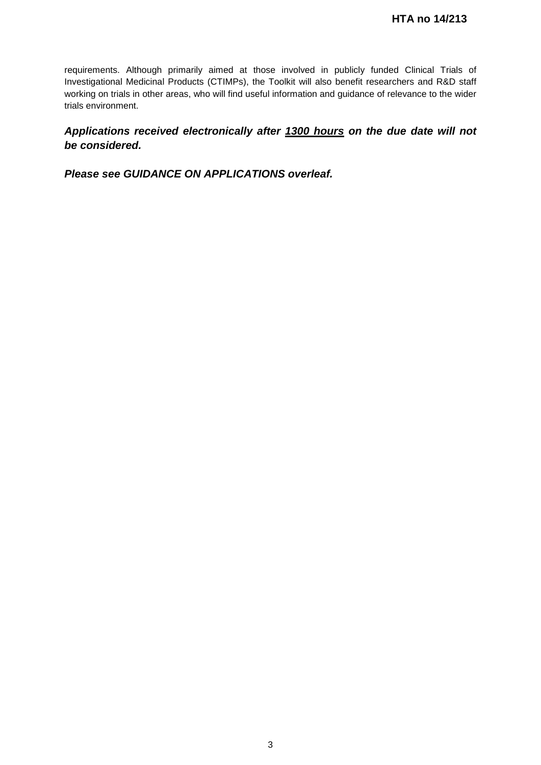requirements. Although primarily aimed at those involved in publicly funded Clinical Trials of Investigational Medicinal Products (CTIMPs), the Toolkit will also benefit researchers and R&D staff working on trials in other areas, who will find useful information and guidance of relevance to the wider trials environment.

*Applications received electronically after 1300 hours on the due date will not be considered.*

*Please see GUIDANCE ON APPLICATIONS overleaf.*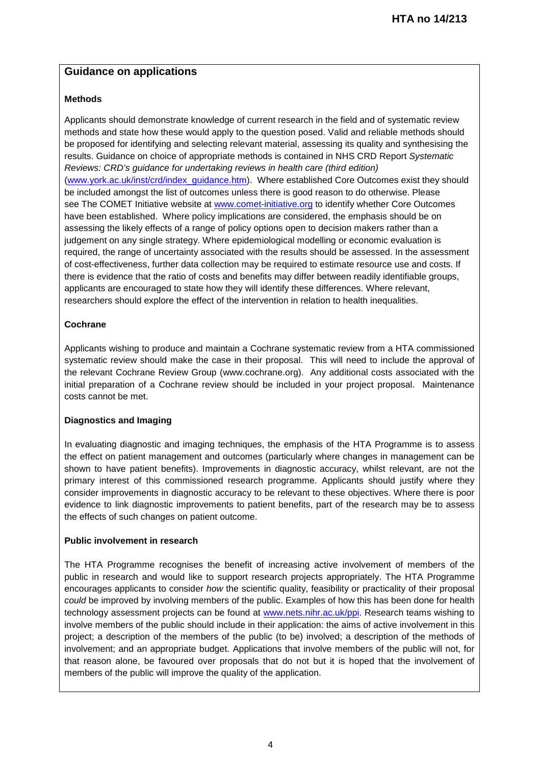# **Guidance on applications**

# **Methods**

Applicants should demonstrate knowledge of current research in the field and of systematic review methods and state how these would apply to the question posed. Valid and reliable methods should be proposed for identifying and selecting relevant material, assessing its quality and synthesising the results. Guidance on choice of appropriate methods is contained in NHS CRD Report *Systematic Reviews: CRD's guidance for undertaking reviews in health care (third edition)* [\(www.york.ac.uk/inst/crd/index\\_guidance.htm\)](http://www.york.ac.uk/inst/crd/index_guidance.htm). Where established Core Outcomes exist they should be included amongst the list of outcomes unless there is good reason to do otherwise. Please see The COMET Initiative website at [www.comet-initiative.org](http://www.comet-initiative.org/) to identify whether Core Outcomes have been established. Where policy implications are considered, the emphasis should be on assessing the likely effects of a range of policy options open to decision makers rather than a judgement on any single strategy. Where epidemiological modelling or economic evaluation is required, the range of uncertainty associated with the results should be assessed. In the assessment of cost-effectiveness, further data collection may be required to estimate resource use and costs. If there is evidence that the ratio of costs and benefits may differ between readily identifiable groups, applicants are encouraged to state how they will identify these differences. Where relevant, researchers should explore the effect of the intervention in relation to health inequalities.

# **Cochrane**

Applicants wishing to produce and maintain a Cochrane systematic review from a HTA commissioned systematic review should make the case in their proposal. This will need to include the approval of the relevant Cochrane Review Group (www.cochrane.org). Any additional costs associated with the initial preparation of a Cochrane review should be included in your project proposal. Maintenance costs cannot be met.

# **Diagnostics and Imaging**

In evaluating diagnostic and imaging techniques, the emphasis of the HTA Programme is to assess the effect on patient management and outcomes (particularly where changes in management can be shown to have patient benefits). Improvements in diagnostic accuracy, whilst relevant, are not the primary interest of this commissioned research programme. Applicants should justify where they consider improvements in diagnostic accuracy to be relevant to these objectives. Where there is poor evidence to link diagnostic improvements to patient benefits, part of the research may be to assess the effects of such changes on patient outcome.

# **Public involvement in research**

The HTA Programme recognises the benefit of increasing active involvement of members of the public in research and would like to support research projects appropriately. The HTA Programme encourages applicants to consider *how* the scientific quality, feasibility or practicality of their proposal *could* be improved by involving members of the public. Examples of how this has been done for health technology assessment projects can be found at [www.nets.nihr.ac.uk/ppi.](http://www.nets.nihr.ac.uk/ppi) Research teams wishing to involve members of the public should include in their application: the aims of active involvement in this project; a description of the members of the public (to be) involved; a description of the methods of involvement; and an appropriate budget. Applications that involve members of the public will not, for that reason alone, be favoured over proposals that do not but it is hoped that the involvement of members of the public will improve the quality of the application.